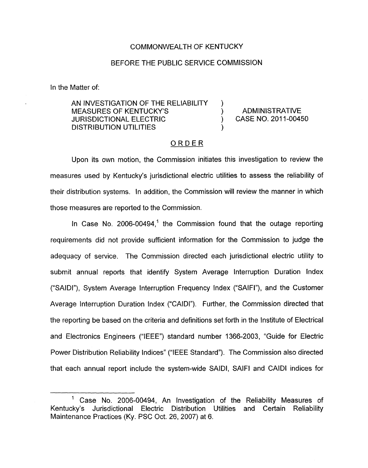## COMMONWEALTH OF KENTUCKY

#### BEFORE THE PUBLIC SERVICE COMMISSION

In the Matter of:

AN INVESTIGATION OF THE RELIABILITY MEASURES OF KENTUCKY'S (NOTIFIED ADMINISTRATIVE JURISDICTIONAL ELECTRIC (2011-00450) DISTRIBUTION UTILITIES

## ORDER

 $\lambda$ 

Upon its own motion, the Commission initiates this investigation to review the measures used by Kentucky's jurisdictional electric utilities to assess the reliability of their distribution systems. In addition, the Commission will review the manner in which those measures are reported to the Commission.

In Case No. 2006-00494.<sup>1</sup> the Commission found that the outage reporting requirements did not provide sufficient information for the Commission to judge the adequacy of service. The Commission directed each jurisdictional electric utility to submit annual reports that identify System Average Interruption Duration Index ('SAIDI"), System Average Interruption Frequency Index ("SAIFI"), and the Customer Average Interruption Duration Index ("CAIDI"). Further, the Commission directed that the reporting be based on the criteria and definitions set forth in the Institute of Electrical and Electronics Engineers ("IEEE") standard number 1366-2003, "Guide for Electric Power Distribution Reliability Indices" ("IEEE Standard"). The Commission also directed that each annual report include the system-wide SAIDI, SAIFI and CAIDI indices for

<sup>&</sup>lt;sup>1</sup> Case No. 2006-00494, An Investigation of the Reliability Measures of Kentucky's Jurisdictional Electric Distribution Utilities and Certain Reliability Maintenance Practices (Ky. PSC Oct. 26, 2007) at 6.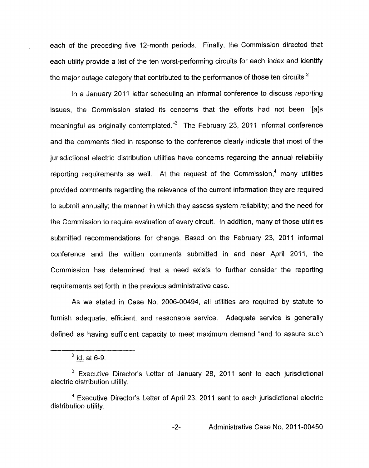each of the preceding five 12-month periods. Finally, the Commission directed that each utility provide a list of the ten worst-performing circuits for each index and identify the major outage category that contributed to the performance of those ten circuits.<sup>2</sup>

In a January 2011 letter scheduling an informal conference to discuss reporting issues, the Commission stated its concerns that the efforts had not been "[als meaningful as originally contemplated." $3$  The February 23, 2011 informal conference and the comments filed in response to the conference clearly indicate that most of the jurisdictional electric distribution utilities have concerns regarding the annual reliability reporting requirements as well. At the request of the Commission, $<sup>4</sup>$  many utilities</sup> provided comments regarding the relevance of the current information they are required to submit annually; the manner in which they assess system reliability; and the need for the Commission to require evaluation of every circuit. In addition, many of those utilities submitted recommendations for change. Based on the February 23, 2011 informal conference and the written comments submitted in and near April 2011, the Commission has determined that a need exists to further consider the reporting requirements set forth in the previous administrative case.

As we stated in Case No. 2006-00494, all utilities are required by statute to furnish adequate, efficient, and reasonable service. Adequate service is generally defined as having sufficient capacity to meet maximum demand "and to assure such

 $2$  Id. at 6-9.

Executive Director's Letter of January 28, 2011 sent to each jurisdictional electric distribution utility.

Executive Director's Letter of April 23, 2011 sent to each jurisdictional electric distribution utility.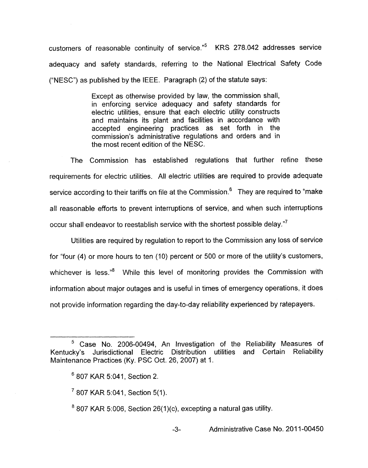customers of reasonable continuity of service."<sup>5</sup> KRS 278.042 addresses service adequacy and safety standards, referring to the National Electrical Safety Code ("NESC") as published by the IEEE. Paragraph (2) of the statute says:

> Except as otherwise provided by law, the commission shall, in enforcing service adequacy and safety standards for electric utilities, ensure that each electric utility constructs and maintains its plant and facilities in accordance with accepted engineering practices as set forth in the commission's administrative regulations and orders and in the most recent edition of the NESC.

The Commission has established regulations that further refine these requirements for electric utilities, All electric utilities are required to provide adequate service according to their tariffs on file at the Commission.<sup>6</sup> They are required to "make all reasonable efforts to prevent interruptions of service, and when such interruptions occur shall endeavor to reestablish service with the shortest possible delay."

Utilities are required by regulation to report to the Commission any loss of service for "four (4) or more hours to ten (IO) percent or 500 or more of the utility's customers, whichever is less."<sup>8</sup> While this level of monitoring provides the Commission with information about major outages and is useful in times of emergency operations, it does not provide information regarding the day-to-day reliability experienced by ratepayers.

 $807$  KAR 5:006, Section 26(1)(c), excepting a natural gas utility.

*-3-* Administrative Case No. 201 1-00450

 $5$  Case No. 2006-00494, An Investigation of the Reliability Measures of Kentucky's Jurisdictional Electric Distribution utilities and Certain Reliability Maintenance Practices (Ky. PSC Oct. 26, 2007) at 1.

 $6807$  KAR 5:041, Section 2.

 $7807$  KAR 5:041, Section 5(1).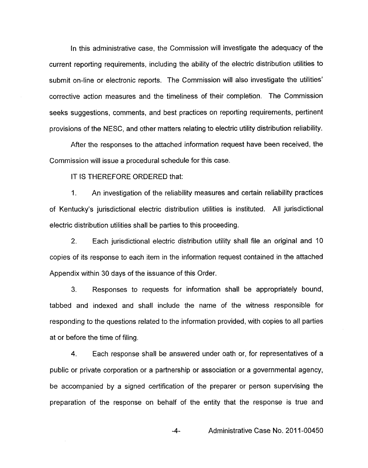In this administrative case, the Commission will investigate the adequacy of the current reporting requirements, including the ability of the electric distribution utilities to submit on-line or electronic reports. The Commission will also investigate the utilities' corrective action measures and the timeliness of their completion. The Commission seeks suggestions, comments, and best practices on reporting requirements, pertinent provisions of the NESC, and other matters relating to electric utility distribution reliability.

After the responses to the attached information request have been received, the Commission will issue a procedural schedule for this case.

IT IS THEREFORE ORDERED that:

1. An investigation of the reliability measures and certain reliability practices of Kentucky's jurisdictional electric distribution utilities is instituted. All jurisdictional electric distribution utilities shall be parties to this proceeding.

2. Each jurisdictional electric distribution utility shall file an original and 10 copies of its response to each item in the information request contained in the attached Appendix within 30 days of the issuance of this Order.

**3.** Responses to requests for information shall be appropriately bound, tabbed and indexed and shall include the name of the witness responsible for responding to the questions related to the information provided, with copies to all parties at or before the time of filing.

4. Each response shall be answered under oath or, for representatives of a public or private corporation or a partnership or association or a governmental agency, be accompanied by a signed certification of the preparer or person supervising the preparation of the response on behalf of the entity that the response is true and

**-4-** Administrative Case No. 201 1-00450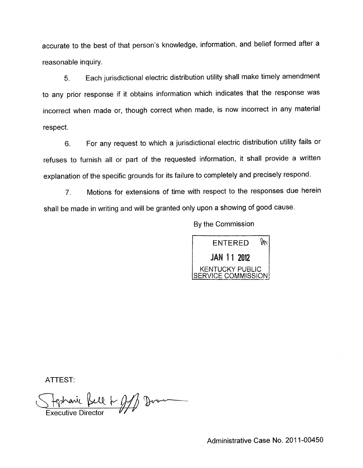accurate to the best of that person's knowledge, information, and belief formed after a reasonable inquiry.

Each jurisdictional electric distribution utility shall make timely amendment 5. to any prior response if it obtains information which indicates that the response was incorrect when made or, though correct when made, is now incorrect in any material respect.

For any request to which a jurisdictional electric distribution utility fails or 6. refuses to furnish all or part of the requested information, it shall provide a written explanation of the specific grounds for its failure to completely and precisely respond.

Motions for extensions of time with respect to the responses due herein  $7<sub>1</sub>$ shall be made in writing and will be granted only upon a showing of good cause.

By the Commission



ATTEST:

Hephanic Kell & AM Drome<br>Executive Director

Administrative Case No. 2011-00450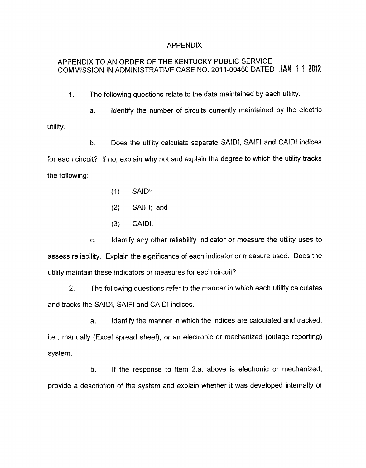#### APPENDIX

# APPENDIX TO AN ORDER OF THE KENTUCKY PUBLIC SERVICE COMMISSION IN ADMINISTRATIVE CASE NO. 2011-00450 DATED JAN 1 1 2012

I. The following questions relate to the data maintained by each utility.

a. Identify the number of circuits currently maintained by the electric utility.

b. Does the utility calculate separate SAIDI, SAIFI and CAlDl indices for each circuit? If no, explain why not and explain the degree to which the utility tracks the following:

- (1) SAIDI;
- (2) SAIFI; and
- (3) CAIDI.

c. Identify any other reliability indicator or measure the utility uses to assess reliability. Explain the significance of each indicator or measure used. Does the utility maintain these indicators or measures for each circuit?

**2.** The following questions refer to the manner in which each utility calculates and tracks the SAIDI, SAlFl and CAlDl indices.

a. Identify the manner in which the indices are calculated and tracked; i.e., manually (Excel spread sheet), or an electronic or mechanized (outage reporting) system.

b. If the response to Item 2.a. above is electronic or mechanized, provide a description of the system and explain whether it was developed internally or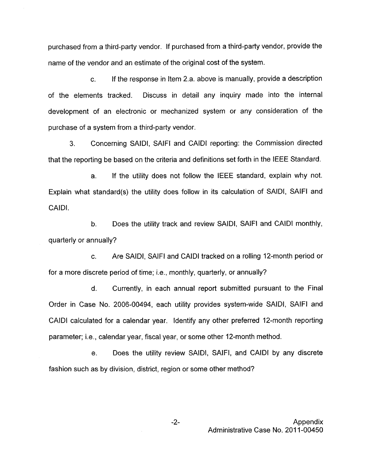purchased from a third-party vendor. If purchased from a third-party vendor, provide the name of the vendor and an estimate of the original cost of the system.

c. If the response in Item 2.a. above is manually, provide a description of the elements tracked. Discuss in detail any inquiry made into the internal development of an electronic or mechanized system or any consideration of the purchase of a system from a third-party vendor.

**3.** Concerning SAIDI, SAIFI and CAlDl reporting: the Commission directed that the reporting be based on the criteria and definitions set forth in the IEEE Standard.

If the utility does not follow the IEEE standard, explain why not. Explain what standard(s) the utility does follow in its calculation of SAIDI, SAlFl and CAIDI. a.

b. Does the utility track and review SAIDI, SAlFl and CAlDl monthly, quarterly or annually?

c. Are SAIDI, SAIFI and CAlDl tracked on a rolling 12-month period or for a more discrete period of time; i.e., monthly, quarterly, or annually?

d. Currently, in each annual report submitted pursuant to the Final Order in Case No. 2006-00494, each utility provides system-wide SAIDI, SAlFl and CAIDI calculated for a calendar year. Identify any other preferred 12-month reporting parameter; i.e., calendar year, fiscal year, or some other 12-month method.

e. Does the utility review SAIDI, SAIFI, and CAlDl by any discrete fashion such as by division, district, region or some other method?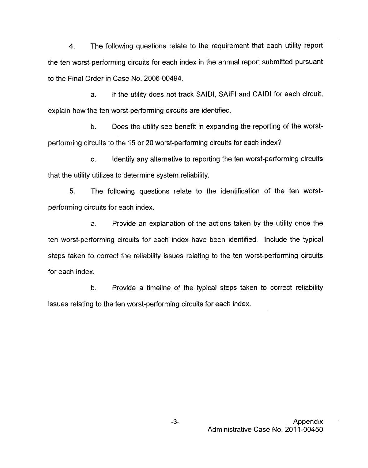4. The following questions relate to the requirement that each utility report the ten worst-performing circuits for each index in the annual report submitted pursuant to the Final Order in Case No. 2006-00494.

a. If the utility does not track SAIDI, SAIFI and CAIDI for each circuit, explain how the ten worst-performing circuits are identified.

b. Does the utility see benefit in expanding the reporting of the worstperforming circuits to the 15 or 20 worst-performing circuits for each index?

c. Identify any alternative to reporting the ten worst-performing circuits that the utility utilizes to determine system reliability.

5. The following questions relate to the identification of the ten worstperforming circuits for each index.

a. Provide an explanation of the actions taken by the utility once the ten worst-performing circuits for each index have been identified. Include the typical steps taken to correct the reliability issues relating to the ten worst-performing circuits for each index.

b. Provide a timeline of the typical steps taken to correct reliability issues relating to the ten worst-performing circuits for each index.

> **-3-** Appendix Administrative Case No. 2011-00450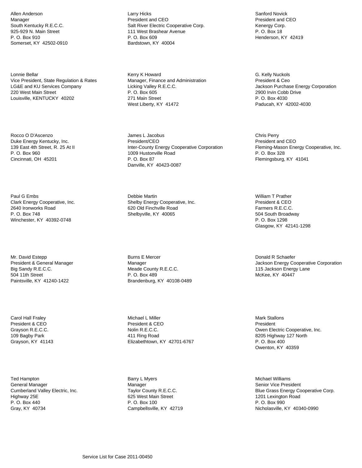Allen Anderson Manager South Kentucky R.E.C.C. 925-929 N. Main Street P. O. Box 910 Somerset, KY 42502-0910

Lonnie Bellar Vice President, State Regulation & Rates LG&E and KU Services Company 220 West Main Street Louisville, KENTUCKY 40202

Rocco O D'Ascenzo Duke Energy Kentucky, Inc. 139 East 4th Street, R. 25 At II P. O. Box 960 Cincinnati, OH 45201

Paul G Embs Clark Energy Cooperative, Inc. 2640 Ironworks Road P. O. Box 748 Winchester, KY 40392-0748

Mr. David Estepp President & General Manager Big Sandy R.E.C.C. 504 11th Street Paintsville, KY 41240-1422

Carol Hall Fraley President & CEO Grayson R.E.C.C. 109 Bagby Park Grayson, KY 41143

Ted Hampton General Manager Cumberland Valley Electric, Inc. Highway 25E P. O. Box 440 Gray, KY 40734

Larry Hicks President and CEO Salt River Electric Cooperative Corp. 111 West Brashear Avenue P. O. Box 609 Bardstown, KY 40004

Kerry K Howard Manager, Finance and Administration Licking Valley R.E.C.C. P. O. Box 605 271 Main Street West Liberty, KY 41472

James L Jacobus President/CEO Inter-County Energy Cooperative Corporation 1009 Hustonville Road P. O. Box 87 Danville, KY 40423-0087

Debbie Martin Shelby Energy Cooperative, Inc. 620 Old Finchville Road Shelbyville, KY 40065

Burns E Mercer Manager Meade County R.E.C.C. P. O. Box 489 Brandenburg, KY 40108-0489

Michael L Miller President & CEO Nolin R.E.C.C. 411 Ring Road Elizabethtown, KY 42701-6767

Barry L Myers Manager Taylor County R.E.C.C. 625 West Main Street P. O. Box 100 Campbellsville, KY 42719

Sanford Novick President and CEO Kenergy Corp. P. O. Box 18 Henderson, KY 42419

G. Kelly Nuckols President & Ceo Jackson Purchase Energy Corporation 2900 Irvin Cobb Drive P. O. Box 4030 Paducah, KY 42002-4030

Chris Perry President and CEO Fleming-Mason Energy Cooperative, Inc. P. O. Box 328 Flemingsburg, KY 41041

William T Prather President & CEO Farmers R.E.C.C. 504 South Broadway P. O. Box 1298 Glasgow, KY 42141-1298

Donald R Schaefer Jackson Energy Cooperative Corporation 115 Jackson Energy Lane McKee, KY 40447

Mark Stallons President Owen Electric Cooperative, Inc. 8205 Highway 127 North P. O. Box 400 Owenton, KY 40359

Michael Williams Senior Vice President Blue Grass Energy Cooperative Corp. 1201 Lexington Road P. O. Box 990 Nicholasville, KY 40340-0990